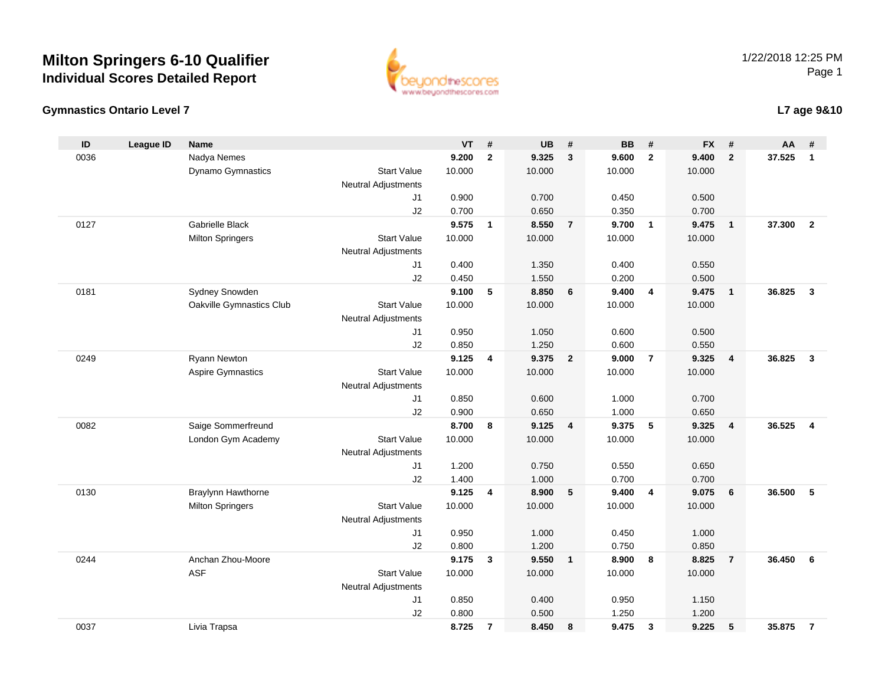#### **Gymnastics Ontario Level 7**

0037

| ID   | <b>League ID</b> | <b>Name</b>              |                            | VT     | #            | UB     | #                       | BB     | #              | <b>FX</b> | #                          | ΑА     | #                       |
|------|------------------|--------------------------|----------------------------|--------|--------------|--------|-------------------------|--------|----------------|-----------|----------------------------|--------|-------------------------|
| 0036 |                  | Nadya Nemes              |                            | 9.200  | $\mathbf{2}$ | 9.325  | 3                       | 9.600  | $\overline{2}$ | 9.400     | $\overline{2}$             | 37.525 | $\overline{1}$          |
|      |                  | Dynamo Gymnastics        | <b>Start Value</b>         | 10.000 |              | 10.000 |                         | 10.000 |                | 10.000    |                            |        |                         |
|      |                  |                          | <b>Neutral Adjustments</b> |        |              |        |                         |        |                |           |                            |        |                         |
|      |                  |                          | J1                         | 0.900  |              | 0.700  |                         | 0.450  |                | 0.500     |                            |        |                         |
|      |                  |                          | J2                         | 0.700  |              | 0.650  |                         | 0.350  |                | 0.700     |                            |        |                         |
| 0127 |                  | Gabrielle Black          |                            | 9.575  | $\mathbf{1}$ | 8.550  | $\overline{7}$          | 9.700  | $\overline{1}$ | 9.475     | $\overline{1}$             | 37.300 | $\overline{2}$          |
|      |                  | <b>Milton Springers</b>  | <b>Start Value</b>         | 10.000 |              | 10.000 |                         | 10.000 |                | 10.000    |                            |        |                         |
|      |                  |                          | <b>Neutral Adjustments</b> |        |              |        |                         |        |                |           |                            |        |                         |
|      |                  |                          | J1                         | 0.400  |              | 1.350  |                         | 0.400  |                | 0.550     |                            |        |                         |
|      |                  |                          | J2                         | 0.450  |              | 1.550  |                         | 0.200  |                | 0.500     |                            |        |                         |
| 0181 |                  | Sydney Snowden           |                            | 9.100  | 5            | 8.850  | 6                       | 9.400  | 4              | 9.475     | $\overline{\phantom{0}}$ 1 | 36.825 | $\overline{\mathbf{3}}$ |
|      |                  | Oakville Gymnastics Club | <b>Start Value</b>         | 10.000 |              | 10.000 |                         | 10.000 |                | 10.000    |                            |        |                         |
|      |                  |                          | <b>Neutral Adjustments</b> |        |              |        |                         |        |                |           |                            |        |                         |
|      |                  |                          | J1                         | 0.950  |              | 1.050  |                         | 0.600  |                | 0.500     |                            |        |                         |
|      |                  |                          | J2                         | 0.850  |              | 1.250  |                         | 0.600  |                | 0.550     |                            |        |                         |
| 0249 |                  | Ryann Newton             |                            | 9.125  | 4            | 9.375  | $\overline{2}$          | 9.000  | $\overline{7}$ | 9.325     | $\overline{\mathbf{4}}$    | 36.825 | $\overline{\mathbf{3}}$ |
|      |                  | <b>Aspire Gymnastics</b> | <b>Start Value</b>         | 10.000 |              | 10.000 |                         | 10.000 |                | 10.000    |                            |        |                         |
|      |                  |                          | <b>Neutral Adjustments</b> |        |              |        |                         |        |                |           |                            |        |                         |
|      |                  |                          | J1                         | 0.850  |              | 0.600  |                         | 1.000  |                | 0.700     |                            |        |                         |
|      |                  |                          | J2                         | 0.900  |              | 0.650  |                         | 1.000  |                | 0.650     |                            |        |                         |
| 0082 |                  | Saige Sommerfreund       |                            | 8.700  | 8            | 9.125  | 4                       | 9.375  | 5              | 9.325     | $\overline{\mathbf{4}}$    | 36.525 | $\overline{4}$          |
|      |                  | London Gym Academy       | <b>Start Value</b>         | 10.000 |              | 10.000 |                         | 10.000 |                | 10.000    |                            |        |                         |
|      |                  |                          | <b>Neutral Adjustments</b> |        |              |        |                         |        |                |           |                            |        |                         |
|      |                  |                          | J1                         | 1.200  |              | 0.750  |                         | 0.550  |                | 0.650     |                            |        |                         |
|      |                  |                          | J2                         | 1.400  |              | 1.000  |                         | 0.700  |                | 0.700     |                            |        |                         |
| 0130 |                  | Braylynn Hawthorne       |                            | 9.125  | 4            | 8.900  | 5                       | 9.400  | 4              | 9.075     | 6                          | 36.500 | 5                       |
|      |                  | <b>Milton Springers</b>  | <b>Start Value</b>         | 10.000 |              | 10.000 |                         | 10.000 |                | 10.000    |                            |        |                         |
|      |                  |                          | <b>Neutral Adjustments</b> |        |              |        |                         |        |                |           |                            |        |                         |
|      |                  |                          | J1                         | 0.950  |              | 1.000  |                         | 0.450  |                | 1.000     |                            |        |                         |
|      |                  |                          | J2                         | 0.800  |              | 1.200  |                         | 0.750  |                | 0.850     |                            |        |                         |
| 0244 |                  | Anchan Zhou-Moore        |                            | 9.175  | 3            | 9.550  | $\overline{\mathbf{1}}$ | 8.900  | 8              | 8.825     | $\overline{7}$             | 36.450 | - 6                     |
|      |                  | ASF                      | <b>Start Value</b>         | 10.000 |              | 10.000 |                         | 10.000 |                | 10.000    |                            |        |                         |
|      |                  |                          | <b>Neutral Adjustments</b> |        |              |        |                         |        |                |           |                            |        |                         |
|      |                  |                          | J1                         | 0.850  |              | 0.400  |                         | 0.950  |                | 1.150     |                            |        |                         |
|      |                  |                          | J2                         | 0.800  |              | 0.500  |                         | 1.250  |                | 1.200     |                            |        |                         |

Livia Trapsa **8.725 <sup>7</sup> 8.450 <sup>8</sup> 9.475 <sup>3</sup> 9.225 <sup>5</sup> 35.875 <sup>7</sup>**

1/22/2018 12:25 PMPage 1



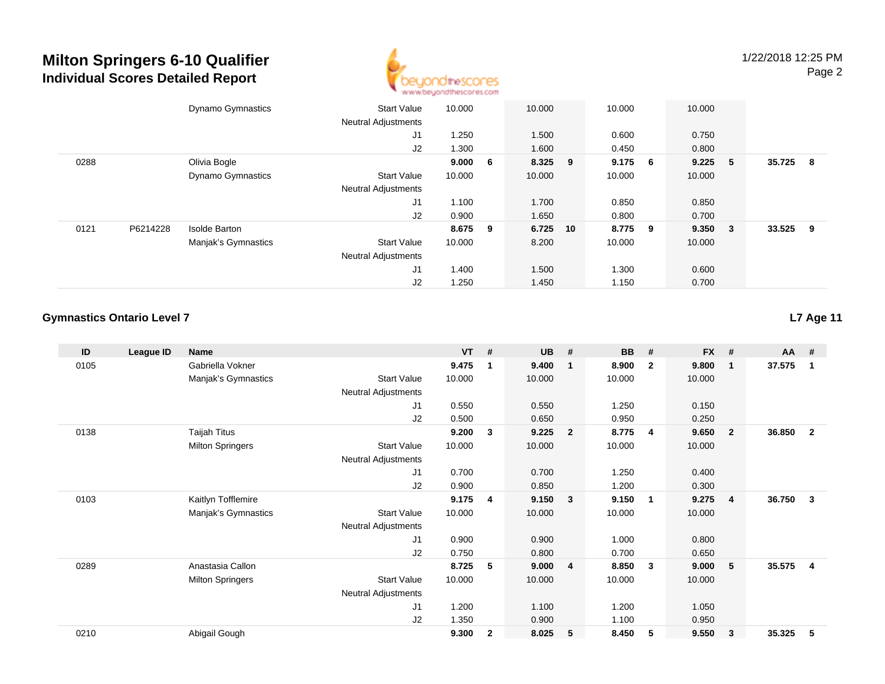

|                  | <b>Dynamo Gymnastics</b> | <b>Start Value</b><br><b>Neutral Adjustments</b> | 10.000  | 10.000   | 10.000    |     | 10.000  |   |        |     |
|------------------|--------------------------|--------------------------------------------------|---------|----------|-----------|-----|---------|---|--------|-----|
|                  |                          | J1                                               | 1.250   | 1.500    | 0.600     |     | 0.750   |   |        |     |
|                  |                          | J2                                               | 1.300   | 1.600    | 0.450     |     | 0.800   |   |        |     |
| 0288             | Olivia Bogle             |                                                  | 9.000 6 | 8.325 9  | $9.175$ 6 |     | 9.225   | 5 | 35.725 | - 8 |
|                  | <b>Dynamo Gymnastics</b> | <b>Start Value</b>                               | 10.000  | 10.000   | 10.000    |     | 10.000  |   |        |     |
|                  |                          | <b>Neutral Adjustments</b>                       |         |          |           |     |         |   |        |     |
|                  |                          | J1                                               | 1.100   | 1.700    | 0.850     |     | 0.850   |   |        |     |
|                  |                          | J2                                               | 0.900   | 1.650    | 0.800     |     | 0.700   |   |        |     |
| 0121<br>P6214228 | <b>Isolde Barton</b>     |                                                  | 8.675 9 | 6.725 10 | 8.775     | - 9 | 9.350 3 |   | 33.525 | - 9 |
|                  | Manjak's Gymnastics      | <b>Start Value</b>                               | 10.000  | 8.200    | 10.000    |     | 10.000  |   |        |     |
|                  |                          | <b>Neutral Adjustments</b>                       |         |          |           |     |         |   |        |     |
|                  |                          | J1                                               | 1.400   | 1.500    | 1.300     |     | 0.600   |   |        |     |
|                  |                          | J2                                               | 1.250   | 1.450    | 1.150     |     | 0.700   |   |        |     |

#### **Gymnastics Ontario Level 7**

**ID League ID Name VT # UB # BB # FX # AA #** 0105 Gabriella Vokner **9.475 <sup>1</sup> 9.400 <sup>1</sup> 8.900 <sup>2</sup> 9.800 <sup>1</sup> 37.575 <sup>1</sup>** Manjak's Gymnastics Start Valuee 10.000 10.000 10.000 10.000 Neutral Adjustments J1 0.550 0.550 1.250 0.150 J2 0.500 0.650 0.950 0.250 0138 Taijah Titus **9.200 <sup>3</sup> 9.225 <sup>2</sup> 8.775 <sup>4</sup> 9.650 <sup>2</sup> 36.850 <sup>2</sup>** Milton Springers Start Valuee 10.000 10.000 10.000 10.000 Neutral Adjustments J1 0.700 0.700 1.250 0.400 J2 0.900 0.850 1.200 0.300 0103 Kaitlyn Tofflemire **9.175 <sup>4</sup> 9.150 <sup>3</sup> 9.150 <sup>1</sup> 9.275 <sup>4</sup> 36.750 <sup>3</sup>** Manjak's Gymnastics Start Valuee 10.000 10.000 10.000 10.000 Neutral Adjustments J1 0.900 0.900 1.000 0.800 J2 0.750 0.800 0.700 0.650 0289 Anastasia Callon **8.725 <sup>5</sup> 9.000 <sup>4</sup> 8.850 <sup>3</sup> 9.000 <sup>5</sup> 35.575 <sup>4</sup>** Milton Springers Start Valuee 10.000 10.000 10.000 10.000 Neutral Adjustments J1 1.200 1.100 1.200 1.050 J2 1.350 0.900 1.100 0.950 0210Abigail Gough **9.300 <sup>2</sup> 8.025 <sup>5</sup> 8.450 <sup>5</sup> 9.550 <sup>3</sup> 35.325 <sup>5</sup>**

**L7 Age 11**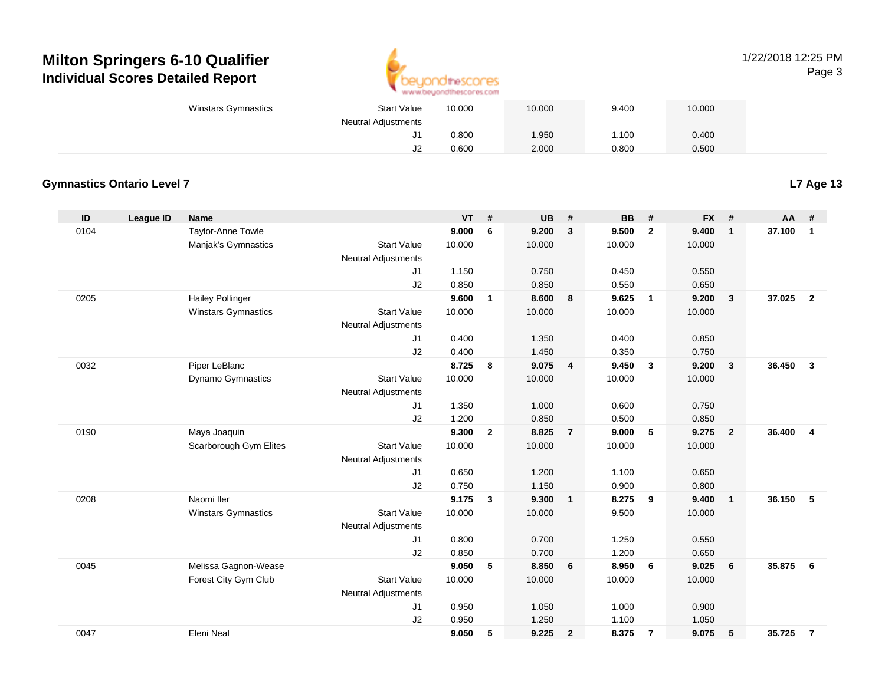

#### 1/22/2018 12:25 PMPage 3

| Winstars Gymnastics | <b>Start Value</b>         | 10.000 | 10.000 | 9.400 | 10.000 |
|---------------------|----------------------------|--------|--------|-------|--------|
|                     | <b>Neutral Adjustments</b> |        |        |       |        |
|                     | ັ                          | 0.800  | 1.950  | 1.100 | 0.400  |
|                     | J2                         | 0.600  | 2.000  | 0.800 | 0.500  |

#### **Gymnastics Ontario Level 7**

**L7 Age 13**

| ID   | League ID | <b>Name</b>                |                            | <b>VT</b> | #              | <b>UB</b> | #              | <b>BB</b> | #                       | <b>FX</b> | #                       | AA     | #              |
|------|-----------|----------------------------|----------------------------|-----------|----------------|-----------|----------------|-----------|-------------------------|-----------|-------------------------|--------|----------------|
| 0104 |           | Taylor-Anne Towle          |                            | 9.000     | 6              | 9.200     | 3              | 9.500     | $\overline{2}$          | 9.400     | $\mathbf{1}$            | 37.100 | $\mathbf{1}$   |
|      |           | Manjak's Gymnastics        | <b>Start Value</b>         | 10.000    |                | 10.000    |                | 10.000    |                         | 10.000    |                         |        |                |
|      |           |                            | Neutral Adjustments        |           |                |           |                |           |                         |           |                         |        |                |
|      |           |                            | J1                         | 1.150     |                | 0.750     |                | 0.450     |                         | 0.550     |                         |        |                |
|      |           |                            | J2                         | 0.850     |                | 0.850     |                | 0.550     |                         | 0.650     |                         |        |                |
| 0205 |           | <b>Hailey Pollinger</b>    |                            | 9.600     | $\mathbf{1}$   | 8.600     | 8              | 9.625     | $\overline{1}$          | 9.200     | $\mathbf{3}$            | 37.025 | $\overline{2}$ |
|      |           | <b>Winstars Gymnastics</b> | <b>Start Value</b>         | 10.000    |                | 10.000    |                | 10.000    |                         | 10.000    |                         |        |                |
|      |           |                            | <b>Neutral Adjustments</b> |           |                |           |                |           |                         |           |                         |        |                |
|      |           |                            | J1                         | 0.400     |                | 1.350     |                | 0.400     |                         | 0.850     |                         |        |                |
|      |           |                            | J2                         | 0.400     |                | 1.450     |                | 0.350     |                         | 0.750     |                         |        |                |
| 0032 |           | Piper LeBlanc              |                            | 8.725     | 8              | 9.075 4   |                | 9.450     | $\overline{\mathbf{3}}$ | 9.200     | $\overline{\mathbf{3}}$ | 36.450 | $\mathbf{3}$   |
|      |           | Dynamo Gymnastics          | <b>Start Value</b>         | 10.000    |                | 10.000    |                | 10.000    |                         | 10.000    |                         |        |                |
|      |           |                            | <b>Neutral Adjustments</b> |           |                |           |                |           |                         |           |                         |        |                |
|      |           |                            | J1                         | 1.350     |                | 1.000     |                | 0.600     |                         | 0.750     |                         |        |                |
|      |           |                            | J2                         | 1.200     |                | 0.850     |                | 0.500     |                         | 0.850     |                         |        |                |
| 0190 |           | Maya Joaquin               |                            | 9.300     | $\overline{2}$ | 8.825     | $\overline{7}$ | 9.000     | 5                       | 9.275     | $\overline{\mathbf{2}}$ | 36.400 | $\overline{4}$ |
|      |           | Scarborough Gym Elites     | <b>Start Value</b>         | 10.000    |                | 10.000    |                | 10.000    |                         | 10.000    |                         |        |                |
|      |           |                            | <b>Neutral Adjustments</b> |           |                |           |                |           |                         |           |                         |        |                |
|      |           |                            | J1                         | 0.650     |                | 1.200     |                | 1.100     |                         | 0.650     |                         |        |                |
|      |           |                            | J2                         | 0.750     |                | 1.150     |                | 0.900     |                         | 0.800     |                         |        |                |
| 0208 |           | Naomi Iler                 |                            | 9.175     | 3              | 9.300     | $\mathbf{1}$   | 8.275     | 9                       | 9.400     | $\overline{1}$          | 36.150 | 5              |
|      |           | <b>Winstars Gymnastics</b> | <b>Start Value</b>         | 10.000    |                | 10.000    |                | 9.500     |                         | 10.000    |                         |        |                |
|      |           |                            | Neutral Adjustments        |           |                |           |                |           |                         |           |                         |        |                |
|      |           |                            | J1                         | 0.800     |                | 0.700     |                | 1.250     |                         | 0.550     |                         |        |                |
|      |           |                            | J2                         | 0.850     |                | 0.700     |                | 1.200     |                         | 0.650     |                         |        |                |
| 0045 |           | Melissa Gagnon-Wease       |                            | 9.050     | 5              | 8.850     | 6              | 8.950     | 6                       | 9.025     | 6                       | 35.875 | 6              |
|      |           | Forest City Gym Club       | <b>Start Value</b>         | 10.000    |                | 10.000    |                | 10.000    |                         | 10.000    |                         |        |                |
|      |           |                            | Neutral Adjustments        |           |                |           |                |           |                         |           |                         |        |                |
|      |           |                            | J1                         | 0.950     |                | 1.050     |                | 1.000     |                         | 0.900     |                         |        |                |
|      |           |                            | J2                         | 0.950     |                | 1.250     |                | 1.100     |                         | 1.050     |                         |        |                |
| 0047 |           | Eleni Neal                 |                            | 9.050     | 5              | 9.225     | $\overline{2}$ | 8.375     | $\overline{7}$          | 9.075     | 5                       | 35.725 | $\overline{7}$ |
|      |           |                            |                            |           |                |           |                |           |                         |           |                         |        |                |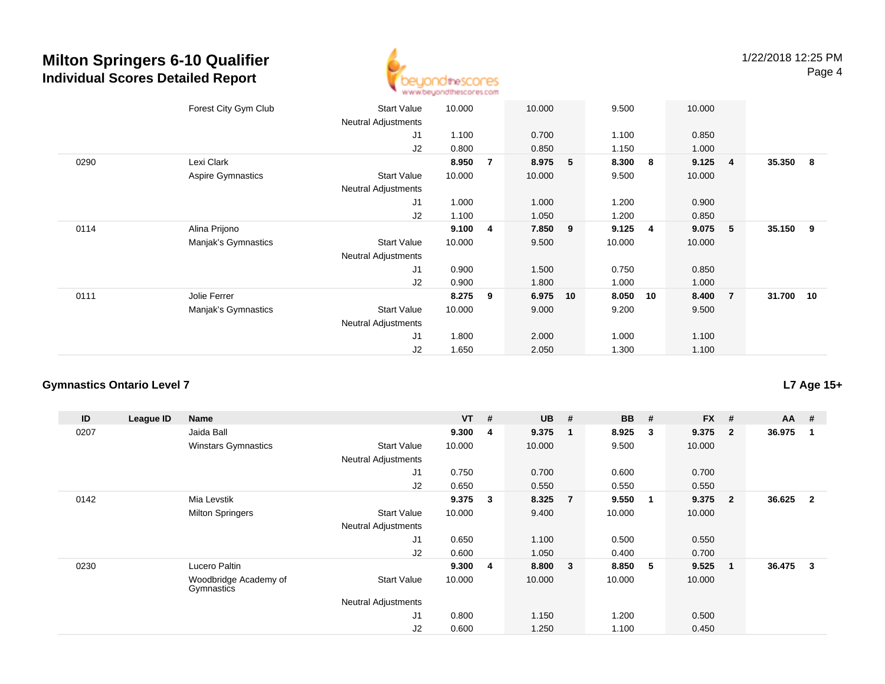

|      | Forest City Gym Club     | <b>Start Value</b><br>Neutral Adjustments        | 10.000 |                | 10.000  |    | 9.500  |     | 10.000 |                |           |   |
|------|--------------------------|--------------------------------------------------|--------|----------------|---------|----|--------|-----|--------|----------------|-----------|---|
|      |                          | J1                                               | 1.100  |                | 0.700   |    | 1.100  |     | 0.850  |                |           |   |
|      |                          | J2                                               | 0.800  |                | 0.850   |    | 1.150  |     | 1.000  |                |           |   |
| 0290 | Lexi Clark               |                                                  | 8.950  | $\overline{7}$ | 8.975   | 5  | 8.300  | 8   | 9.125  | $\overline{4}$ | 35.350    | 8 |
|      | <b>Aspire Gymnastics</b> | <b>Start Value</b><br><b>Neutral Adjustments</b> | 10.000 |                | 10.000  |    | 9.500  |     | 10.000 |                |           |   |
|      |                          | J1                                               | 1.000  |                | 1.000   |    | 1.200  |     | 0.900  |                |           |   |
|      |                          | J2                                               | 1.100  |                | 1.050   |    | 1.200  |     | 0.850  |                |           |   |
| 0114 | Alina Prijono            |                                                  | 9.100  | 4              | 7.850 9 |    | 9.125  | - 4 | 9.075  | $-5$           | 35.150 9  |   |
|      | Manjak's Gymnastics      | <b>Start Value</b>                               | 10.000 |                | 9.500   |    | 10.000 |     | 10.000 |                |           |   |
|      |                          | <b>Neutral Adjustments</b>                       |        |                |         |    |        |     |        |                |           |   |
|      |                          | J1                                               | 0.900  |                | 1.500   |    | 0.750  |     | 0.850  |                |           |   |
|      |                          | J2                                               | 0.900  |                | 1.800   |    | 1.000  |     | 1.000  |                |           |   |
| 0111 | Jolie Ferrer             |                                                  | 8.275  | 9              | 6.975   | 10 | 8.050  | 10  | 8.400  | $\overline{7}$ | 31.700 10 |   |
|      | Manjak's Gymnastics      | <b>Start Value</b>                               | 10.000 |                | 9.000   |    | 9.200  |     | 9.500  |                |           |   |
|      |                          | <b>Neutral Adjustments</b>                       |        |                |         |    |        |     |        |                |           |   |
|      |                          | J1                                               | 1.800  |                | 2.000   |    | 1.000  |     | 1.100  |                |           |   |
|      |                          | J2                                               | 1.650  |                | 2.050   |    | 1.300  |     | 1.100  |                |           |   |

#### **Gymnastics Ontario Level 7**

| ID   | League ID | Name                                |                            | $VT$ # |                | <b>UB</b> | #                       | <b>BB</b> | #                       | <b>FX</b> | #              | $AA$ #   |                |
|------|-----------|-------------------------------------|----------------------------|--------|----------------|-----------|-------------------------|-----------|-------------------------|-----------|----------------|----------|----------------|
| 0207 |           | Jaida Ball                          |                            | 9.300  | $\overline{4}$ | 9.375     | $\overline{\mathbf{1}}$ | 8.925     | -3                      | 9.375     | $\overline{2}$ | 36.975   |                |
|      |           | <b>Winstars Gymnastics</b>          | <b>Start Value</b>         | 10.000 |                | 10.000    |                         | 9.500     |                         | 10.000    |                |          |                |
|      |           |                                     | <b>Neutral Adjustments</b> |        |                |           |                         |           |                         |           |                |          |                |
|      |           |                                     | J1                         | 0.750  |                | 0.700     |                         | 0.600     |                         | 0.700     |                |          |                |
|      |           |                                     | J <sub>2</sub>             | 0.650  |                | 0.550     |                         | 0.550     |                         | 0.550     |                |          |                |
| 0142 |           | Mia Levstik                         |                            | 9.375  | $\mathbf{3}$   | 8.325     | $\overline{7}$          | 9.550     | $\overline{\mathbf{1}}$ | 9.375     | $\overline{2}$ | 36.625   | $\overline{2}$ |
|      |           | <b>Milton Springers</b>             | <b>Start Value</b>         | 10.000 |                | 9.400     |                         | 10.000    |                         | 10.000    |                |          |                |
|      |           |                                     | <b>Neutral Adjustments</b> |        |                |           |                         |           |                         |           |                |          |                |
|      |           |                                     | J1                         | 0.650  |                | 1.100     |                         | 0.500     |                         | 0.550     |                |          |                |
|      |           |                                     | J2                         | 0.600  |                | 1.050     |                         | 0.400     |                         | 0.700     |                |          |                |
| 0230 |           | Lucero Paltin                       |                            | 9.300  | 4              | 8.800     | $\overline{\mathbf{3}}$ | 8.850     | -5                      | 9.525     | -1             | 36.475 3 |                |
|      |           | Woodbridge Academy of<br>Gymnastics | <b>Start Value</b>         | 10.000 |                | 10.000    |                         | 10.000    |                         | 10.000    |                |          |                |
|      |           |                                     | <b>Neutral Adjustments</b> |        |                |           |                         |           |                         |           |                |          |                |
|      |           |                                     | J1                         | 0.800  |                | 1.150     |                         | 1.200     |                         | 0.500     |                |          |                |
|      |           |                                     | J2                         | 0.600  |                | 1.250     |                         | 1.100     |                         | 0.450     |                |          |                |

**L7 Age 15+**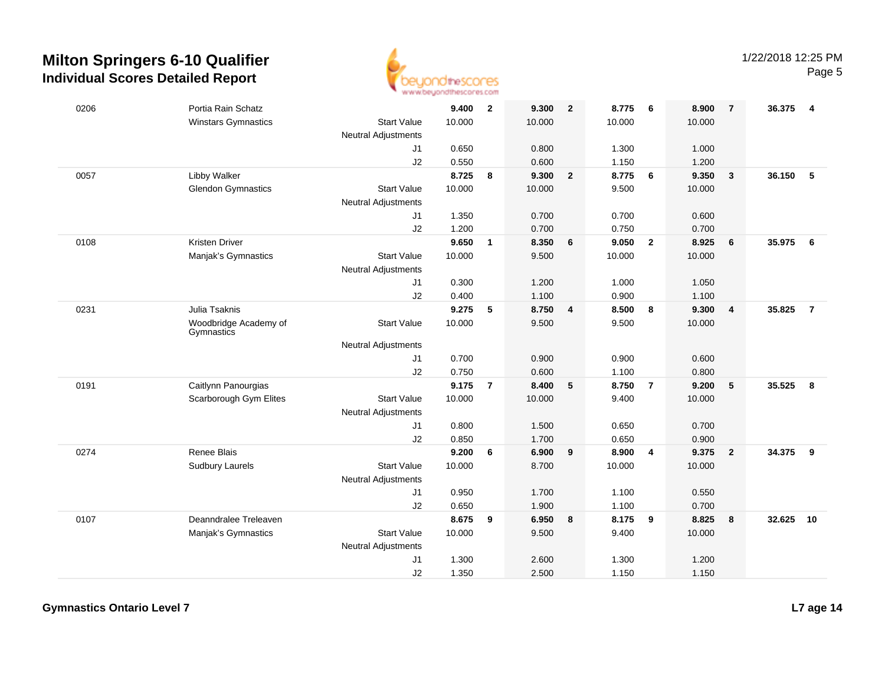

| 0206 | Portia Rain Schatz                  |                            | 9.400  | $\overline{\mathbf{2}}$ | 9.300  | $\overline{\mathbf{2}}$ | 8.775  | - 6            | 8.900  | -7                      | 36.375 4 |                |
|------|-------------------------------------|----------------------------|--------|-------------------------|--------|-------------------------|--------|----------------|--------|-------------------------|----------|----------------|
|      | <b>Winstars Gymnastics</b>          | <b>Start Value</b>         | 10.000 |                         | 10.000 |                         | 10.000 |                | 10.000 |                         |          |                |
|      |                                     | <b>Neutral Adjustments</b> |        |                         |        |                         |        |                |        |                         |          |                |
|      |                                     | J1                         | 0.650  |                         | 0.800  |                         | 1.300  |                | 1.000  |                         |          |                |
|      |                                     | J2                         | 0.550  |                         | 0.600  |                         | 1.150  |                | 1.200  |                         |          |                |
| 0057 | Libby Walker                        |                            | 8.725  | 8                       | 9.300  | $\overline{2}$          | 8.775  | 6              | 9.350  | $\overline{\mathbf{3}}$ | 36.150   | 5              |
|      | <b>Glendon Gymnastics</b>           | <b>Start Value</b>         | 10.000 |                         | 10.000 |                         | 9.500  |                | 10.000 |                         |          |                |
|      |                                     | <b>Neutral Adjustments</b> |        |                         |        |                         |        |                |        |                         |          |                |
|      |                                     | J1                         | 1.350  |                         | 0.700  |                         | 0.700  |                | 0.600  |                         |          |                |
|      |                                     | J2                         | 1.200  |                         | 0.700  |                         | 0.750  |                | 0.700  |                         |          |                |
| 0108 | <b>Kristen Driver</b>               |                            | 9.650  | $\mathbf{1}$            | 8.350  | $6\phantom{1}6$         | 9.050  | $\overline{2}$ | 8.925  | 6                       | 35.975   | 6              |
|      | Manjak's Gymnastics                 | <b>Start Value</b>         | 10.000 |                         | 9.500  |                         | 10.000 |                | 10.000 |                         |          |                |
|      |                                     | <b>Neutral Adjustments</b> |        |                         |        |                         |        |                |        |                         |          |                |
|      |                                     | J1                         | 0.300  |                         | 1.200  |                         | 1.000  |                | 1.050  |                         |          |                |
|      |                                     | J2                         | 0.400  |                         | 1.100  |                         | 0.900  |                | 1.100  |                         |          |                |
| 0231 | Julia Tsaknis                       |                            | 9.275  | 5                       | 8.750  | $\overline{\mathbf{4}}$ | 8.500  | 8              | 9.300  | $\overline{4}$          | 35.825   | $\overline{7}$ |
|      | Woodbridge Academy of<br>Gymnastics | <b>Start Value</b>         | 10.000 |                         | 9.500  |                         | 9.500  |                | 10.000 |                         |          |                |
|      |                                     | <b>Neutral Adjustments</b> |        |                         |        |                         |        |                |        |                         |          |                |
|      |                                     | J1                         | 0.700  |                         | 0.900  |                         | 0.900  |                | 0.600  |                         |          |                |
|      |                                     | J2                         | 0.750  |                         | 0.600  |                         | 1.100  |                | 0.800  |                         |          |                |
| 0191 | Caitlynn Panourgias                 |                            | 9.175  | $\overline{7}$          | 8.400  | $5\phantom{.0}$         | 8.750  | $\overline{7}$ | 9.200  | 5                       | 35.525   | 8              |
|      | Scarborough Gym Elites              | <b>Start Value</b>         | 10.000 |                         | 10.000 |                         | 9.400  |                | 10.000 |                         |          |                |
|      |                                     | <b>Neutral Adjustments</b> |        |                         |        |                         |        |                |        |                         |          |                |
|      |                                     | J1                         | 0.800  |                         | 1.500  |                         | 0.650  |                | 0.700  |                         |          |                |
|      |                                     | J2                         | 0.850  |                         | 1.700  |                         | 0.650  |                | 0.900  |                         |          |                |
| 0274 | Renee Blais                         |                            | 9.200  | 6                       | 6.900  | 9                       | 8.900  | $\overline{4}$ | 9.375  | $\overline{2}$          | 34.375   | 9              |
|      | <b>Sudbury Laurels</b>              | <b>Start Value</b>         | 10.000 |                         | 8.700  |                         | 10.000 |                | 10.000 |                         |          |                |
|      |                                     | <b>Neutral Adjustments</b> |        |                         |        |                         |        |                |        |                         |          |                |
|      |                                     | J1                         | 0.950  |                         | 1.700  |                         | 1.100  |                | 0.550  |                         |          |                |
|      |                                     | J2                         | 0.650  |                         | 1.900  |                         | 1.100  |                | 0.700  |                         |          |                |
| 0107 | Deanndralee Treleaven               |                            | 8.675  | 9                       | 6.950  | 8                       | 8.175  | 9              | 8.825  | 8                       | 32.625   | 10             |
|      | Manjak's Gymnastics                 | <b>Start Value</b>         | 10.000 |                         | 9.500  |                         | 9.400  |                | 10.000 |                         |          |                |
|      |                                     | <b>Neutral Adjustments</b> |        |                         |        |                         |        |                |        |                         |          |                |
|      |                                     | J1                         | 1.300  |                         | 2.600  |                         | 1.300  |                | 1.200  |                         |          |                |
|      |                                     | J2                         | 1.350  |                         | 2.500  |                         | 1.150  |                | 1.150  |                         |          |                |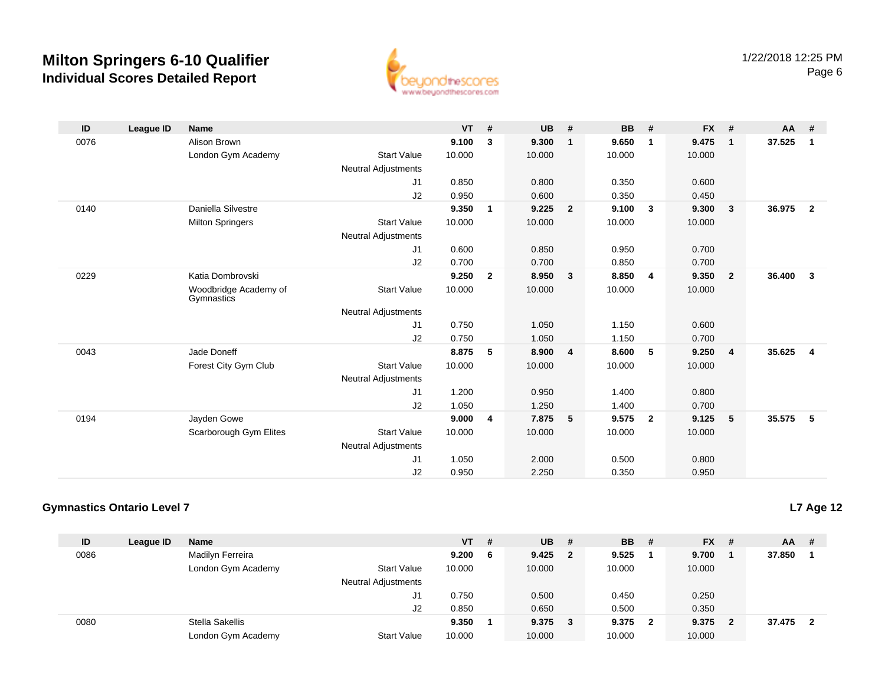

| ID   | <b>League ID</b> | <b>Name</b>                         |                            | <b>VT</b> | #              | <b>UB</b> | #              | <b>BB</b> | #              | <b>FX</b> | #              | $AA$ #   |                         |
|------|------------------|-------------------------------------|----------------------------|-----------|----------------|-----------|----------------|-----------|----------------|-----------|----------------|----------|-------------------------|
| 0076 |                  | Alison Brown                        |                            | 9.100     | 3              | 9.300     | $\mathbf{1}$   | 9.650     | 1              | 9.475     | $\mathbf{1}$   | 37.525   | $\blacksquare$          |
|      |                  | London Gym Academy                  | <b>Start Value</b>         | 10.000    |                | 10.000    |                | 10.000    |                | 10.000    |                |          |                         |
|      |                  |                                     | <b>Neutral Adjustments</b> |           |                |           |                |           |                |           |                |          |                         |
|      |                  |                                     | J1                         | 0.850     |                | 0.800     |                | 0.350     |                | 0.600     |                |          |                         |
|      |                  |                                     | J2                         | 0.950     |                | 0.600     |                | 0.350     |                | 0.450     |                |          |                         |
| 0140 |                  | Daniella Silvestre                  |                            | 9.350     | 1              | 9.225     | $\overline{2}$ | 9.100     | $\mathbf{3}$   | 9.300     | $\mathbf{3}$   | 36.975   | $\overline{\mathbf{2}}$ |
|      |                  | <b>Milton Springers</b>             | <b>Start Value</b>         | 10.000    |                | 10.000    |                | 10.000    |                | 10.000    |                |          |                         |
|      |                  |                                     | <b>Neutral Adjustments</b> |           |                |           |                |           |                |           |                |          |                         |
|      |                  |                                     | J1                         | 0.600     |                | 0.850     |                | 0.950     |                | 0.700     |                |          |                         |
|      |                  |                                     | J2                         | 0.700     |                | 0.700     |                | 0.850     |                | 0.700     |                |          |                         |
| 0229 |                  | Katia Dombrovski                    |                            | 9.250     | $\overline{2}$ | 8.950     | $\mathbf{3}$   | 8.850     | 4              | 9.350     | $\overline{2}$ | 36.400   | $\overline{\mathbf{3}}$ |
|      |                  | Woodbridge Academy of<br>Gymnastics | <b>Start Value</b>         | 10.000    |                | 10.000    |                | 10.000    |                | 10.000    |                |          |                         |
|      |                  |                                     | <b>Neutral Adjustments</b> |           |                |           |                |           |                |           |                |          |                         |
|      |                  |                                     | J1                         | 0.750     |                | 1.050     |                | 1.150     |                | 0.600     |                |          |                         |
|      |                  |                                     | J2                         | 0.750     |                | 1.050     |                | 1.150     |                | 0.700     |                |          |                         |
| 0043 |                  | Jade Doneff                         |                            | 8.875     | 5              | 8.900     | 4              | 8.600     | 5              | 9.250     | 4              | 35.625 4 |                         |
|      |                  | Forest City Gym Club                | <b>Start Value</b>         | 10.000    |                | 10.000    |                | 10.000    |                | 10.000    |                |          |                         |
|      |                  |                                     | <b>Neutral Adjustments</b> |           |                |           |                |           |                |           |                |          |                         |
|      |                  |                                     | J1                         | 1.200     |                | 0.950     |                | 1.400     |                | 0.800     |                |          |                         |
|      |                  |                                     | J2                         | 1.050     |                | 1.250     |                | 1.400     |                | 0.700     |                |          |                         |
| 0194 |                  | Jayden Gowe                         |                            | 9.000     | 4              | 7.875     | 5              | 9.575     | $\overline{2}$ | 9.125     | 5              | 35.575 5 |                         |
|      |                  | Scarborough Gym Elites              | <b>Start Value</b>         | 10.000    |                | 10.000    |                | 10.000    |                | 10.000    |                |          |                         |
|      |                  |                                     | <b>Neutral Adjustments</b> |           |                |           |                |           |                |           |                |          |                         |
|      |                  |                                     | J1                         | 1.050     |                | 2.000     |                | 0.500     |                | 0.800     |                |          |                         |
|      |                  |                                     | J2                         | 0.950     |                | 2.250     |                | 0.350     |                | 0.950     |                |          |                         |

### **Gymnastics Ontario Level 7**

**L7 Age 12**

| ID   | League ID | <b>Name</b>        |                            | $VT$ # |   | <b>UB</b> | - #            | <b>BB</b> | - #          | $FX$ # |     | AA     | -#                      |
|------|-----------|--------------------|----------------------------|--------|---|-----------|----------------|-----------|--------------|--------|-----|--------|-------------------------|
| 0086 |           | Madilyn Ferreira   |                            | 9.200  | 6 | 9.425     | $\overline{2}$ | 9.525     |              | 9.700  |     | 37,850 |                         |
|      |           | London Gym Academy | <b>Start Value</b>         | 10.000 |   | 10.000    |                | 10.000    |              | 10.000 |     |        |                         |
|      |           |                    | <b>Neutral Adjustments</b> |        |   |           |                |           |              |        |     |        |                         |
|      |           |                    | J1                         | 0.750  |   | 0.500     |                | 0.450     |              | 0.250  |     |        |                         |
|      |           |                    | J <sub>2</sub>             | 0.850  |   | 0.650     |                | 0.500     |              | 0.350  |     |        |                         |
| 0080 |           | Stella Sakellis    |                            | 9.350  |   | 9.375     | 3              | 9.375     | $\mathbf{2}$ | 9.375  | - 2 | 37.475 | $\overline{\mathbf{2}}$ |
|      |           | London Gym Academy | <b>Start Value</b>         | 10.000 |   | 10.000    |                | 10.000    |              | 10.000 |     |        |                         |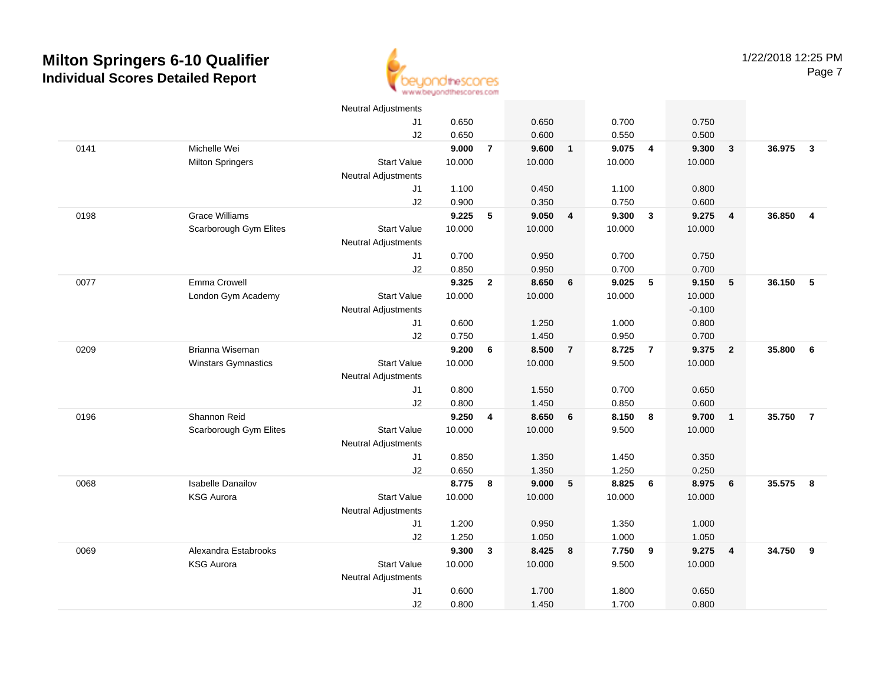

|      |                            | <b>Neutral Adjustments</b> |        |                |        |                         |        |                         |          |                |        |                         |
|------|----------------------------|----------------------------|--------|----------------|--------|-------------------------|--------|-------------------------|----------|----------------|--------|-------------------------|
|      |                            | J1                         | 0.650  |                | 0.650  |                         | 0.700  |                         | 0.750    |                |        |                         |
|      |                            | J2                         | 0.650  |                | 0.600  |                         | 0.550  |                         | 0.500    |                |        |                         |
| 0141 | Michelle Wei               |                            | 9.000  | $\overline{7}$ | 9.600  | $\overline{1}$          | 9.075  | $\overline{4}$          | 9.300    | $\mathbf{3}$   | 36.975 | $\overline{\mathbf{3}}$ |
|      | <b>Milton Springers</b>    | <b>Start Value</b>         | 10.000 |                | 10.000 |                         | 10.000 |                         | 10.000   |                |        |                         |
|      |                            | <b>Neutral Adjustments</b> |        |                |        |                         |        |                         |          |                |        |                         |
|      |                            | J1                         | 1.100  |                | 0.450  |                         | 1.100  |                         | 0.800    |                |        |                         |
|      |                            | J2                         | 0.900  |                | 0.350  |                         | 0.750  |                         | 0.600    |                |        |                         |
| 0198 | <b>Grace Williams</b>      |                            | 9.225  | 5              | 9.050  | $\overline{\mathbf{4}}$ | 9.300  | $\overline{\mathbf{3}}$ | 9.275    | $\overline{4}$ | 36.850 | $\overline{4}$          |
|      | Scarborough Gym Elites     | <b>Start Value</b>         | 10.000 |                | 10.000 |                         | 10.000 |                         | 10.000   |                |        |                         |
|      |                            | <b>Neutral Adjustments</b> |        |                |        |                         |        |                         |          |                |        |                         |
|      |                            | J <sub>1</sub>             | 0.700  |                | 0.950  |                         | 0.700  |                         | 0.750    |                |        |                         |
|      |                            | J2                         | 0.850  |                | 0.950  |                         | 0.700  |                         | 0.700    |                |        |                         |
| 0077 | Emma Crowell               |                            | 9.325  | $\mathbf{2}$   | 8.650  | 6                       | 9.025  | 5                       | 9.150    | ${\bf 5}$      | 36.150 | 5                       |
|      | London Gym Academy         | <b>Start Value</b>         | 10.000 |                | 10.000 |                         | 10.000 |                         | 10.000   |                |        |                         |
|      |                            | <b>Neutral Adjustments</b> |        |                |        |                         |        |                         | $-0.100$ |                |        |                         |
|      |                            | J <sub>1</sub>             | 0.600  |                | 1.250  |                         | 1.000  |                         | 0.800    |                |        |                         |
|      |                            | J2                         | 0.750  |                | 1.450  |                         | 0.950  |                         | 0.700    |                |        |                         |
| 0209 | Brianna Wiseman            |                            | 9.200  | 6              | 8.500  | $\overline{7}$          | 8.725  | $\overline{7}$          | 9.375    | $\overline{2}$ | 35.800 | 6                       |
|      | <b>Winstars Gymnastics</b> | <b>Start Value</b>         | 10.000 |                | 10.000 |                         | 9.500  |                         | 10.000   |                |        |                         |
|      |                            | <b>Neutral Adjustments</b> |        |                |        |                         |        |                         |          |                |        |                         |
|      |                            | J1                         | 0.800  |                | 1.550  |                         | 0.700  |                         | 0.650    |                |        |                         |
|      |                            | J2                         | 0.800  |                | 1.450  |                         | 0.850  |                         | 0.600    |                |        |                         |
| 0196 | Shannon Reid               |                            | 9.250  | 4              | 8.650  | 6                       | 8.150  | 8                       | 9.700    | $\mathbf{1}$   | 35.750 | $\overline{7}$          |
|      | Scarborough Gym Elites     | <b>Start Value</b>         | 10.000 |                | 10.000 |                         | 9.500  |                         | 10.000   |                |        |                         |
|      |                            | <b>Neutral Adjustments</b> |        |                |        |                         |        |                         |          |                |        |                         |
|      |                            | J <sub>1</sub>             | 0.850  |                | 1.350  |                         | 1.450  |                         | 0.350    |                |        |                         |
|      |                            | J2                         | 0.650  |                | 1.350  |                         | 1.250  |                         | 0.250    |                |        |                         |
| 0068 | <b>Isabelle Danailov</b>   |                            | 8.775  | 8              | 9.000  | - 5                     | 8.825  | - 6                     | 8.975    | 6              | 35.575 | 8                       |
|      | <b>KSG Aurora</b>          | <b>Start Value</b>         | 10.000 |                | 10.000 |                         | 10.000 |                         | 10.000   |                |        |                         |
|      |                            | <b>Neutral Adjustments</b> |        |                |        |                         |        |                         |          |                |        |                         |
|      |                            | J <sub>1</sub>             | 1.200  |                | 0.950  |                         | 1.350  |                         | 1.000    |                |        |                         |
|      |                            | J2                         | 1.250  |                | 1.050  |                         | 1.000  |                         | 1.050    |                |        |                         |
| 0069 | Alexandra Estabrooks       |                            | 9.300  | $\mathbf{3}$   | 8.425  | 8                       | 7.750  | - 9                     | 9.275    | 4              | 34.750 | 9                       |
|      | <b>KSG Aurora</b>          | <b>Start Value</b>         | 10.000 |                | 10.000 |                         | 9.500  |                         | 10.000   |                |        |                         |
|      |                            | <b>Neutral Adjustments</b> |        |                |        |                         |        |                         |          |                |        |                         |
|      |                            | J <sub>1</sub>             | 0.600  |                | 1.700  |                         | 1.800  |                         | 0.650    |                |        |                         |
|      |                            | J2                         | 0.800  |                | 1.450  |                         | 1.700  |                         | 0.800    |                |        |                         |